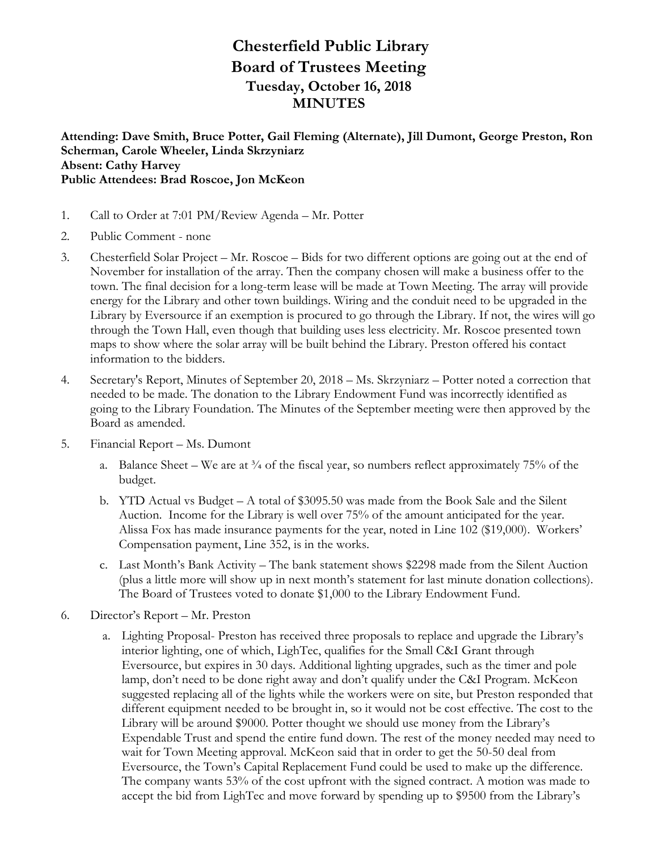## **Chesterfield Public Library Board of Trustees Meeting Tuesday, October 16, 2018 MINUTES**

**Attending: Dave Smith, Bruce Potter, Gail Fleming (Alternate), Jill Dumont, George Preston, Ron Scherman, Carole Wheeler, Linda Skrzyniarz Absent: Cathy Harvey Public Attendees: Brad Roscoe, Jon McKeon**

- 1. Call to Order at 7:01 PM/Review Agenda Mr. Potter
- 2. Public Comment none
- 3. Chesterfield Solar Project Mr. Roscoe Bids for two different options are going out at the end of November for installation of the array. Then the company chosen will make a business offer to the town. The final decision for a long-term lease will be made at Town Meeting. The array will provide energy for the Library and other town buildings. Wiring and the conduit need to be upgraded in the Library by Eversource if an exemption is procured to go through the Library. If not, the wires will go through the Town Hall, even though that building uses less electricity. Mr. Roscoe presented town maps to show where the solar array will be built behind the Library. Preston offered his contact information to the bidders.
- 4. Secretary's Report, Minutes of September 20, 2018 Ms. Skrzyniarz Potter noted a correction that needed to be made. The donation to the Library Endowment Fund was incorrectly identified as going to the Library Foundation. The Minutes of the September meeting were then approved by the Board as amended.
- 5. Financial Report Ms. Dumont
	- a. Balance Sheet We are at  $\frac{3}{4}$  of the fiscal year, so numbers reflect approximately 75% of the budget.
	- b. YTD Actual vs Budget A total of \$3095.50 was made from the Book Sale and the Silent Auction. Income for the Library is well over 75% of the amount anticipated for the year. Alissa Fox has made insurance payments for the year, noted in Line 102 (\$19,000). Workers' Compensation payment, Line 352, is in the works.
	- c. Last Month's Bank Activity The bank statement shows \$2298 made from the Silent Auction (plus a little more will show up in next month's statement for last minute donation collections). The Board of Trustees voted to donate \$1,000 to the Library Endowment Fund.
- 6. Director's Report Mr. Preston
	- a. Lighting Proposal- Preston has received three proposals to replace and upgrade the Library's interior lighting, one of which, LighTec, qualifies for the Small C&I Grant through Eversource, but expires in 30 days. Additional lighting upgrades, such as the timer and pole lamp, don't need to be done right away and don't qualify under the C&I Program. McKeon suggested replacing all of the lights while the workers were on site, but Preston responded that different equipment needed to be brought in, so it would not be cost effective. The cost to the Library will be around \$9000. Potter thought we should use money from the Library's Expendable Trust and spend the entire fund down. The rest of the money needed may need to wait for Town Meeting approval. McKeon said that in order to get the 50-50 deal from Eversource, the Town's Capital Replacement Fund could be used to make up the difference. The company wants 53% of the cost upfront with the signed contract. A motion was made to accept the bid from LighTec and move forward by spending up to \$9500 from the Library's